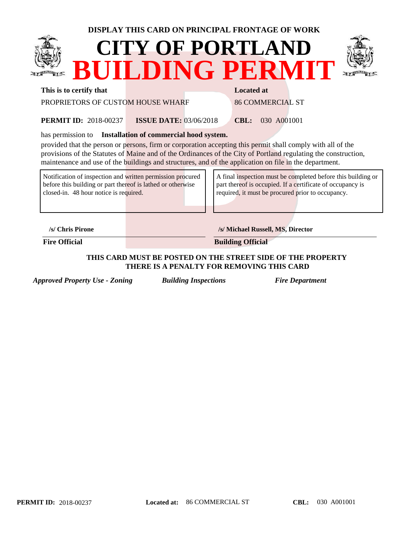## **DISPLAY THIS CARD ON PRINCIPAL FRONTAGE OF WORK**





#### **This is to certify that Located at Located at**

PROPRIETORS OF CUSTOM HOUSE WHARF 86 COMMERCIAL ST

2018-00237 **CBL:** 030 A001001 **ISSUE DATE:** 03/06/2018 **PERMIT ID: 2018-00237** 

has permission to **Installation of commercial hood system.** 

provided that the person or persons, firm or corporation accepting this permit shall comply with all of the provisions of the Statutes of Maine and of the Ordinances of the City of Portland regulating the construction, maintenance and use of the buildings and structures, and of the application on file in the department.

Notification of inspection and written permission procured before this building or part thereof is lathed or otherwise closed-in. 48 hour notice is required.

A final inspection must be completed before this building or part thereof is occupied. If a certificate of occupancy is required, it must be procured prior to occupancy.

**/s/ Chris Pirone /s/ Michael Russell, MS, Director**

**Fire Official Building Official** 

### **THIS CARD MUST BE POSTED ON THE STREET SIDE OF THE PROPERTY THERE IS A PENALTY FOR REMOVING THIS CARD**

*Approved Property Use - Zoning Building Inspections Fire Department*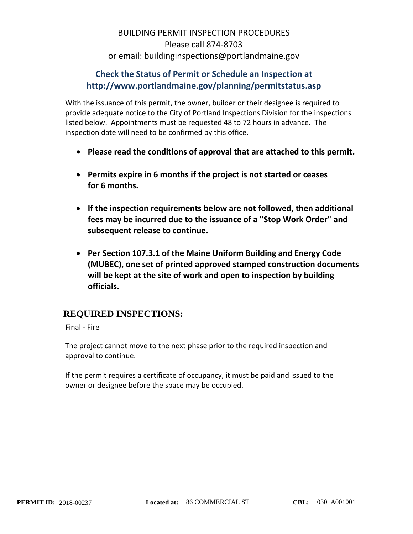# BUILDING PERMIT INSPECTION PROCEDURES Please call 874-8703 or email: buildinginspections@portlandmaine.gov

## **Check the Status of Permit or Schedule an Inspection at http://www.portlandmaine.gov/planning/permitstatus.asp**

With the issuance of this permit, the owner, builder or their designee is required to provide adequate notice to the City of Portland Inspections Division for the inspections listed below. Appointments must be requested 48 to 72 hours in advance. The inspection date will need to be confirmed by this office.

- **Please read the conditions of approval that are attached to this permit.**
- **Permits expire in 6 months if the project is not started or ceases for 6 months.**
- **If the inspection requirements below are not followed, then additional fees may be incurred due to the issuance of a "Stop Work Order" and subsequent release to continue.**
- **Per Section 107.3.1 of the Maine Uniform Building and Energy Code (MUBEC), one set of printed approved stamped construction documents will be kept at the site of work and open to inspection by building officials.**

## **REQUIRED INSPECTIONS:**

Final - Fire

The project cannot move to the next phase prior to the required inspection and approval to continue.

If the permit requires a certificate of occupancy, it must be paid and issued to the owner or designee before the space may be occupied.